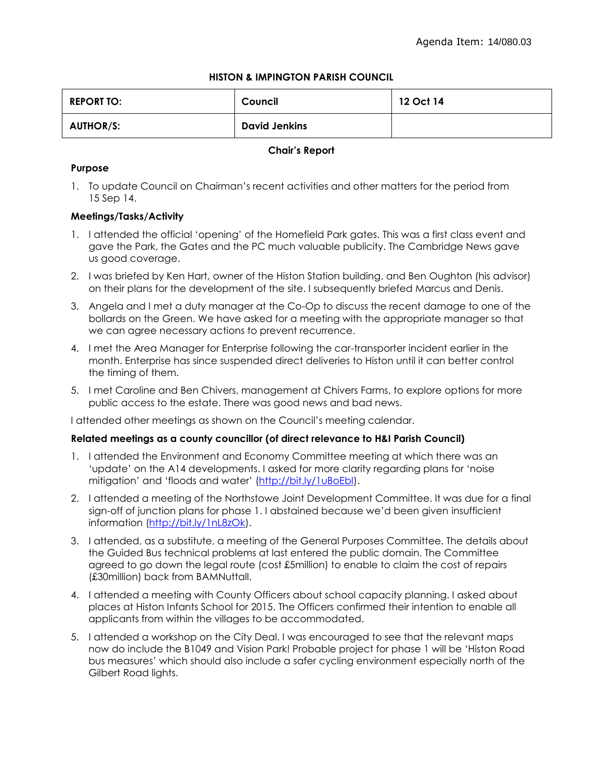# **HISTON & IMPINGTON PARISH COUNCIL**

| <b>REPORT TO:</b> | Council              | 12 Oct 14 |
|-------------------|----------------------|-----------|
| <b>AUTHOR/S:</b>  | <b>David Jenkins</b> |           |

## **Chair's Report**

# **Purpose**

1. To update Council on Chairman's recent activities and other matters for the period from 15 Sep 14.

## **Meetings/Tasks/Activity**

- 1. I attended the official 'opening' of the Homefield Park gates. This was a first class event and gave the Park, the Gates and the PC much valuable publicity. The Cambridge News gave us good coverage.
- 2. I was briefed by Ken Hart, owner of the Histon Station building, and Ben Oughton (his advisor) on their plans for the development of the site. I subsequently briefed Marcus and Denis.
- 3. Angela and I met a duty manager at the Co-Op to discuss the recent damage to one of the bollards on the Green. We have asked for a meeting with the appropriate manager so that we can agree necessary actions to prevent recurrence.
- 4. I met the Area Manager for Enterprise following the car-transporter incident earlier in the month. Enterprise has since suspended direct deliveries to Histon until it can better control the timing of them.
- 5. I met Caroline and Ben Chivers, management at Chivers Farms, to explore options for more public access to the estate. There was good news and bad news.

I attended other meetings as shown on the Council's meeting calendar.

#### **Related meetings as a county councillor (of direct relevance to H&I Parish Council)**

- 1. I attended the Environment and Economy Committee meeting at which there was an 'update' on the A14 developments. I asked for more clarity regarding plans for 'noise mitigation' and 'floods and water' ([http://bit.ly/1uBoEbl\)](http://bit.ly/1uBoEbl).
- 2. I attended a meeting of the Northstowe Joint Development Committee. It was due for a final sign-off of junction plans for phase 1. I abstained because we'd been given insufficient information [\(http://bit.ly/1nL8zOk\)](http://bit.ly/1nL8zOk).
- 3. I attended, as a substitute, a meeting of the General Purposes Committee. The details about the Guided Bus technical problems at last entered the public domain. The Committee agreed to go down the legal route (cost £5million) to enable to claim the cost of repairs (£30million) back from BAMNuttall.
- 4. I attended a meeting with County Officers about school capacity planning. I asked about places at Histon Infants School for 2015. The Officers confirmed their intention to enable all applicants from within the villages to be accommodated.
- 5. I attended a workshop on the City Deal. I was encouraged to see that the relevant maps now do include the B1049 and Vision Park! Probable project for phase 1 will be 'Histon Road bus measures' which should also include a safer cycling environment especially north of the Gilbert Road lights.